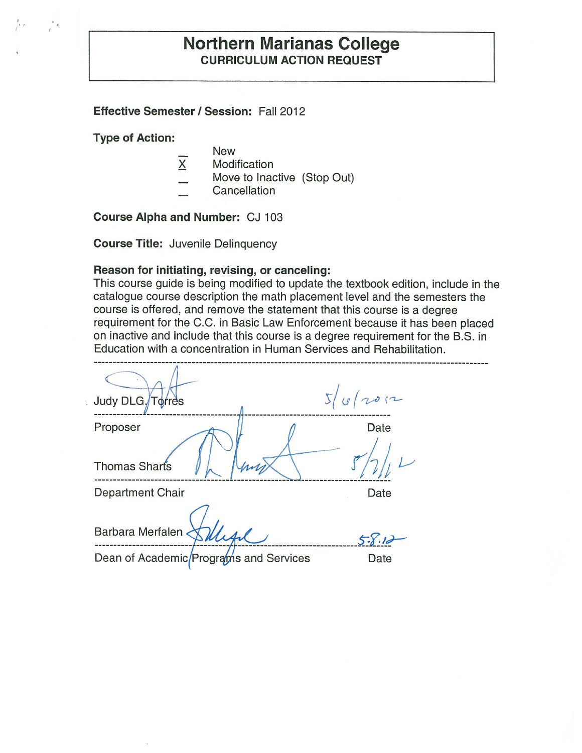# **Northern Marianas College CURRICULUM ACTION REQUEST**

#### **Effective Semester/ Session:** Fall 2012

**Type of Action:** 

- New
- $X$  Modification
- Move to Inactive (Stop Out)
- Cancellation

**Course Alpha and Number:** CJ 103

**Course Title:** Juvenile Delinquency

#### **Reason for initiating, revising, or canceling:**

This course guide is being modified to update the textbook edition, include in the catalogue course description the math placement level and the semesters the course is offered, and remove the statement that this course is a degree requirement for the C.C. in Basic Law Enforcement because it has been placed on inactive and include that this course is a degree requirement for the B.S. in Education with a concentration in Human Services and Rehabilitation.

| Judy DLG Torres                        | 5/6/2012 |
|----------------------------------------|----------|
| Proposer                               | Date     |
| Thomas Shart's                         |          |
| Department Chair                       | Date     |
| Barbara Merfalen                       | $5 - 8.$ |
| Dean of Academic/Programs and Services | Date     |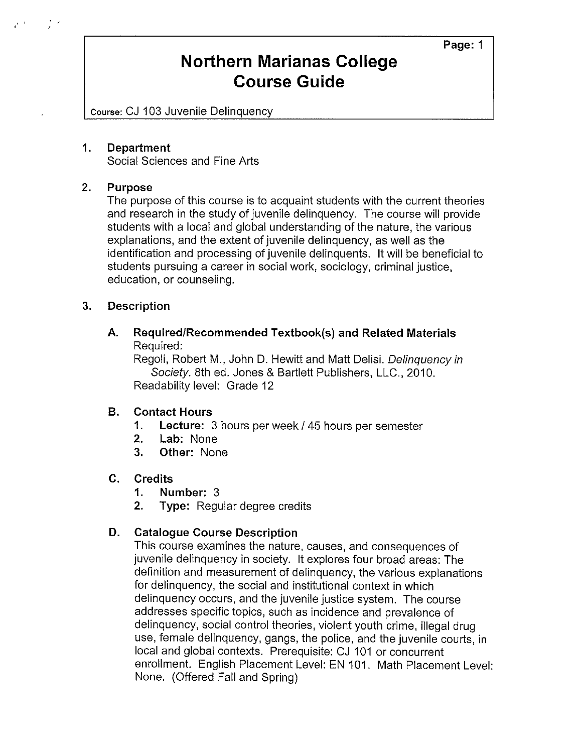**Page:** 1

# **Northern Marianas College Course Guide**

Course: CJ 103 Juvenile Delinquency

#### **1. Department**

Social Sciences and Fine Arts

### **2. Purpose**

The purpose of this course is to acquaint students with the current theories and research in the study of juvenile delinquency. The course will provide students with a local and global understanding of the nature, the various explanations, and the extent of juvenile delinquency, as well as the identification and processing of juvenile delinquents. It will be beneficial to students pursuing a career in social work, sociology, criminal justice, education, or counseling.

#### **3. Description**

**A. Required/Recommended Textbook(s) and Related Materials**  Required:

Regoli, Robert M., John D. Hewitt and Matt Delisi. Delinquency in Society. 8th ed. Jones & Bartlett Publishers, LLC., 2010. Readability level: Grade 12

### **8. Contact Hours**

- **1. Lecture:** 3 hours per week I 45 hours per semester
- **2. Lab:** None
- **3. Other:** None

#### **C. Credits**

- **1. Number:** 3
- **2. Type:** Regular degree credits

### **D. Catalogue Course Description**

This course examines the nature, causes, and consequences of juvenile delinquency in society. It explores four broad areas: The definition and measurement of delinquency, the various explanations for delinquency, the social and institutional context in which delinquency occurs, and the juvenile justice system. The course addresses specific topics, such as incidence and prevalence of delinquency, social control theories, violent youth crime, illegal drug use, female delinquency, gangs, the police, and the juvenile courts, in local and global contexts. Prerequisite: CJ 101 or concurrent enrollment. English Placement Level: EN 101. Math Placement Level: None. (Offered Fall and Spring)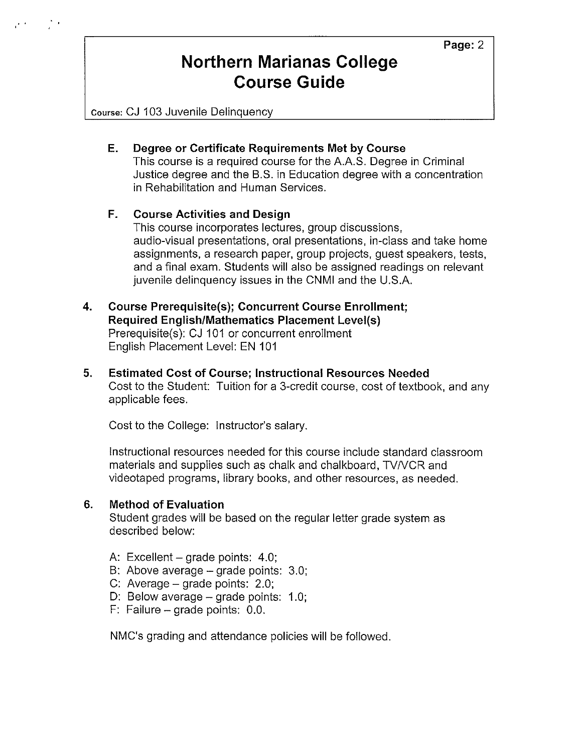Course: CJ 103 Juvenile Delinquency

### **E. Degree or Certificate Requirements Met by Course**

This course is a required course for the A.A.S. Degree in Criminal Justice degree and the B.S. in Education degree with a concentration in Rehabilitation and Human Services.

### **F. Course Activities and Design**

This course incorporates lectures, group discussions, audio-visual presentations, oral presentations, in-class and take home assignments, a research paper, group projects, guest speakers, tests, and a final exam. Students will also be assigned readings on relevant juvenile delinquency issues in the CNMI and the U.S.A.

### **4. Course Prerequisite(s); Concurrent Course Enrollment; Required English/Mathematics Placement Level(s)**  Prerequisite(s): CJ 101 or concurrent enrollment English Placement Level: EN 101

**5. Estimated Cost of Course; Instructional Resources Needed**  Cost to the Student: Tuition for a 3-credit course, cost of textbook, and any applicable fees.

Cost to the College: Instructor's salary.

Instructional resources needed for this course include standard classroom materials and supplies such as chalk and chalkboard, TV/VCR and videotaped programs, library books, and other resources, as needed.

### **6. Method of Evaluation**

Student grades will be based on the regular letter grade system as described below:

- A: Excellent  $-$  grade points: 4.0;
- B: Above average grade points: 3.0;
- C: Average  $-$  grade points: 2.0;
- D: Below average grade points: 1.0;
- $F:$  Failure grade points: 0.0.

NMC's grading and attendance policies will be followed.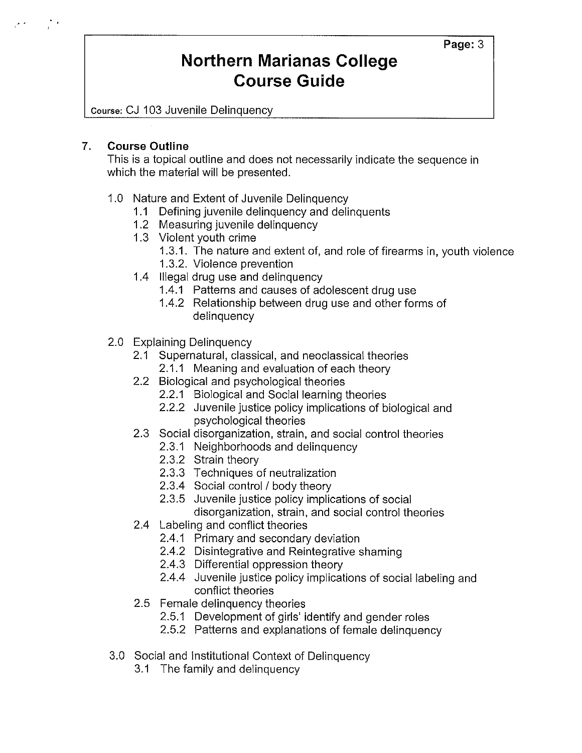Course: CJ 103 Juvenile Delinquency

### **7. Course Outline**

This is a topical outline and does not necessarily indicate the sequence in which the material will be presented.

### 1.0 Nature and Extent of Juvenile Delinquency

- **1.1** Defining juvenile delinquency and delinquents
- 1.2 Measuring juvenile delinquency
- 1.3 Violent youth crime
	- 1.3.1. The nature and extent of, and role of firearms in, youth violence
	- 1.3.2. Violence prevention
- 1.4 Illegal drug use and delinquency
	- 1.4.1 Patterns and causes of adolescent drug use
	- 1.4.2 Relationship between drug use and other forms of delinquency
- 2.0 Explaining Delinquency
	- 2.1 Supernatural, classical, and neoclassical theories
		- 2.1.1 Meaning and evaluation of each theory
	- 2.2 Biological and psychological theories
		- 2.2.1 Biological and Social learning theories
		- 2.2.2 Juvenile justice policy implications of biological and psychological theories
	- 2.3 Social disorganization, strain, and social control theories
		- 2.3.1 Neighborhoods and delinquency
		- 2.3.2 Strain theory
		- 2.3.3 Techniques of neutralization
		- 2.3.4 Social control / body theory
		- 2.3.5 Juvenile justice policy implications of social disorganization, strain, and social control theories
	- 2.4 Labeling and conflict theories
		- 2.4.1 Primary and secondary deviation
		- 2.4.2 Disintegrative and Reintegrative shaming
		- 2.4.3 Differential oppression theory
		- 2.4.4 Juvenile justice policy implications of social labeling and conflict theories
	- 2.5 Female delinquency theories
		- 2.5.1 Development of girls' identify and gender roles
		- 2.5.2 Patterns and explanations of female delinquency
- 3.0 Social and Institutional Context of Delinquency
	- 3.1 The family and delinquency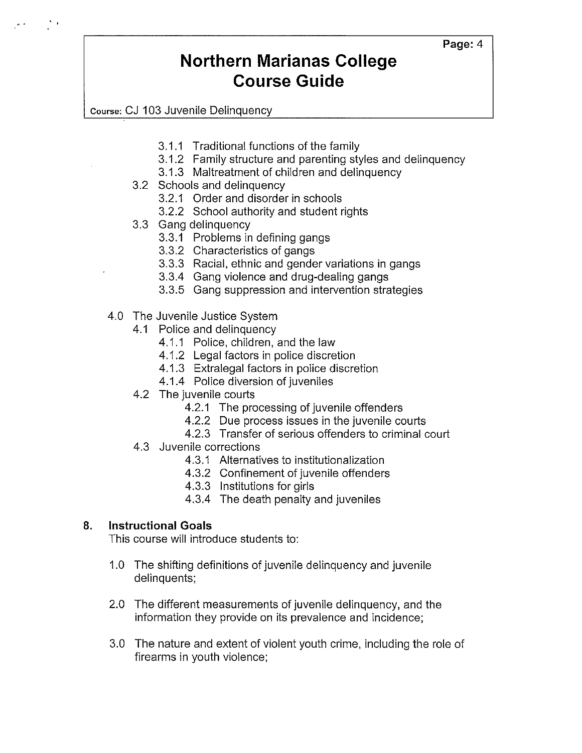Course: CJ 103 Juvenile Delinquency

- 3.1.1 Traditional functions of the family
- 3.1.2 Family structure and parenting styles and delinquency
- 3.1.3 Maltreatment of children and delinquency
- 3.2 Schools and delinquency
	- 3.2.1 Order and disorder in schools
	- 3.2.2 School authority and student rights
- 3.3 Gang delinquency
	- 3.3.1 Problems in defining gangs
	- 3.3.2 Characteristics of gangs
	- 3.3.3 Racial, ethnic and gender variations in gangs
	- 3.3.4 Gang violence and drug-dealing gangs
	- 3.3.5 Gang suppression and intervention strategies
- 4.0 The Juvenile Justice System
	- 4.1 Police and delinquency
		- 4.1.1 Police, children, and the law
		- 4.1.2 Legal factors in police discretion
		- 4.1.3 Extralegal factors in police discretion
		- 4.1.4 Police diversion of juveniles
	- 4.2 The juvenile courts
		- 4.2.1 The processing of juvenile offenders
		- 4.2.2 Due process issues in the juvenile courts
		- 4.2.3 Transfer of serious offenders to criminal court
	- 4.3 Juvenile corrections
		- 4.3.1 Alternatives to institutionalization
		- 4.3.2 Confinement of juvenile offenders
		- 4.3.3 Institutions for girls
		- 4.3.4 The death penalty and juveniles

## **8. Instructional Goals**

This course will introduce students to:

- 1.0 The shifting definitions of juvenile delinquency and juvenile delinquents;
- 2.0 The different measurements of juvenile delinquency, and the information they provide on its prevalence and incidence;
- 3.0 The nature and extent of violent youth crime, including the role of firearms in youth violence;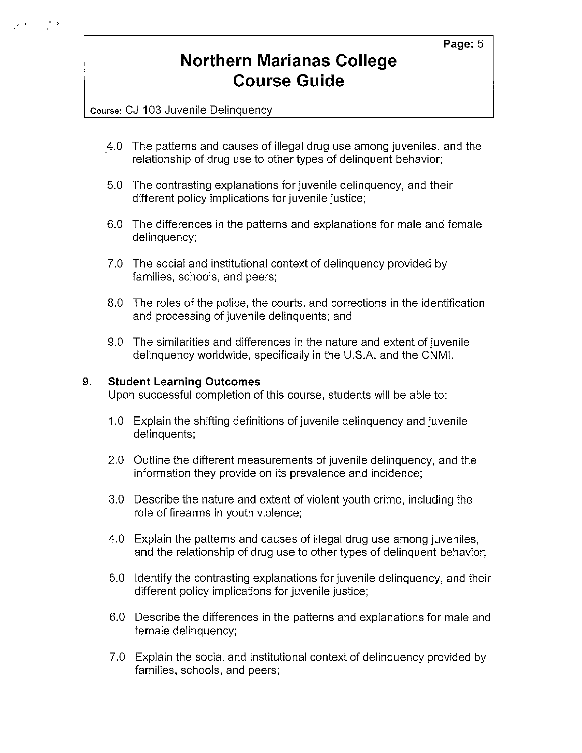Course: CJ 103 Juvenile Delinquency

- 4.0 The patterns and causes of illegal drug use among juveniles, and the relationship of drug use to other types of delinquent behavior;
- 5.0 The contrasting explanations for juvenile delinquency, and their different policy implications for juvenile justice;
- 6.0 The differences in the patterns and explanations for male and female delinquency;
- 7.0 The social and institutional context of delinquency provided by families, schools, and peers;
- 8.0 The roles of the police, the courts, and corrections in the identification and processing of juvenile delinquents; and
- 9.0 The similarities and differences in the nature and extent of juvenile delinquency worldwide, specifically in the U.S.A. and the CNMI.

#### **9. Student Learning Outcomes**

Upon successful completion of this course, students will be able to:

- 1.0 Explain the shifting definitions of juvenile delinquency and juvenile delinquents;
- 2.0 Outline the different measurements of juvenile delinquency, and the information they provide on its prevalence and incidence;
- 3.0 Describe the nature and extent of violent youth crime, including the role of firearms in youth violence;
- 4.0 Explain the patterns and causes of illegal drug use among juveniles, and the relationship of drug use to other types of delinquent behavior;
- 5.0 Identify the contrasting explanations for juvenile delinquency, and their different policy implications for juvenile justice;
- 6.0 Describe the differences in the patterns and explanations for male and female delinquency;
- 7.0 Explain the social and institutional context of delinquency provided by families, schools, and peers;